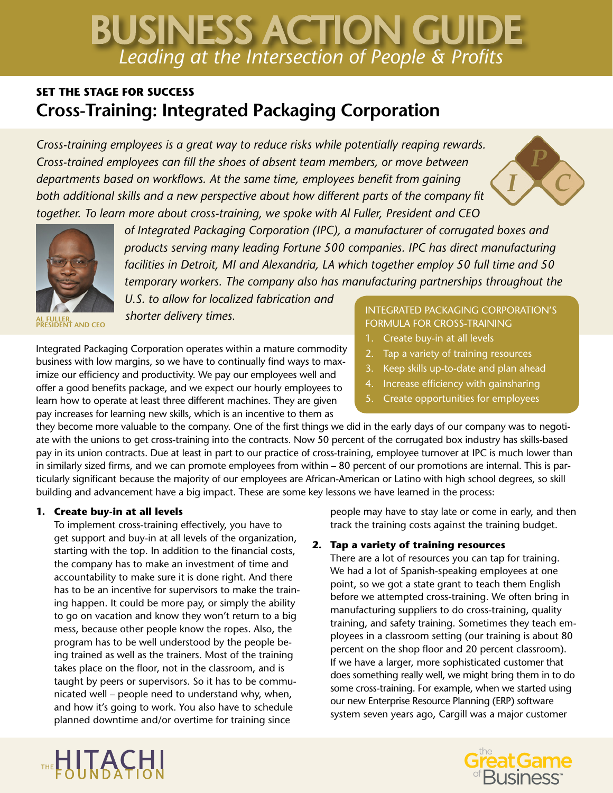# *Leading at the Intersection of People & Profits* BUSINESS ACTION GUIDE

# **SET THE STAGE FOR SUCCESS Cross-Training: Integrated Packaging Corporation**

*Cross-training employees is a great way to reduce risks while potentially reaping rewards. Cross-trained employees can fill the shoes of absent team members, or move between departments based on workflows. At the same time, employees benefit from gaining both additional skills and a new perspective about how different parts of the company fit together. To learn more about cross-training, we spoke with Al Fuller, President and CEO* 





**AL FULLER, PRESIDENT AND CEO**

*of Integrated Packaging Corporation (IPC), a manufacturer of corrugated boxes and products serving many leading Fortune 500 companies. IPC has direct manufacturing facilities in Detroit, MI and Alexandria, LA which together employ 50 full time and 50 temporary workers. The company also has manufacturing partnerships throughout the* 

*U.S. to allow for localized fabrication and shorter delivery times.* 

Integrated Packaging Corporation operates within a mature commodity business with low margins, so we have to continually find ways to maximize our efficiency and productivity. We pay our employees well and offer a good benefits package, and we expect our hourly employees to learn how to operate at least three different machines. They are given pay increases for learning new skills, which is an incentive to them as

# INTEGRATED PACKAGING CORPORATION'S FORMULA FOR CROSS-TRAINING

- 1. Create buy-in at all levels
- 2. Tap a variety of training resources
- 3. Keep skills up-to-date and plan ahead
- 4. Increase efficiency with gainsharing
- 5. Create opportunities for employees

they become more valuable to the company. One of the first things we did in the early days of our company was to negotiate with the unions to get cross-training into the contracts. Now 50 percent of the corrugated box industry has skills-based pay in its union contracts. Due at least in part to our practice of cross-training, employee turnover at IPC is much lower than in similarly sized firms, and we can promote employees from within – 80 percent of our promotions are internal. This is particularly significant because the majority of our employees are African-American or Latino with high school degrees, so skill building and advancement have a big impact. These are some key lessons we have learned in the process:

# **1. Create buy-in at all levels**

To implement cross-training effectively, you have to get support and buy-in at all levels of the organization, starting with the top. In addition to the financial costs, the company has to make an investment of time and accountability to make sure it is done right. And there has to be an incentive for supervisors to make the training happen. It could be more pay, or simply the ability to go on vacation and know they won't return to a big mess, because other people know the ropes. Also, the program has to be well understood by the people being trained as well as the trainers. Most of the training takes place on the floor, not in the classroom, and is taught by peers or supervisors. So it has to be communicated well – people need to understand why, when, and how it's going to work. You also have to schedule planned downtime and/or overtime for training since

people may have to stay late or come in early, and then track the training costs against the training budget.

# **2. Tap a variety of training resources**

There are a lot of resources you can tap for training. We had a lot of Spanish-speaking employees at one point, so we got a state grant to teach them English before we attempted cross-training. We often bring in manufacturing suppliers to do cross-training, quality training, and safety training. Sometimes they teach employees in a classroom setting (our training is about 80 percent on the shop floor and 20 percent classroom). If we have a larger, more sophisticated customer that does something really well, we might bring them in to do some cross-training. For example, when we started using our new Enterprise Resource Planning (ERP) software system seven years ago, Cargill was a major customer